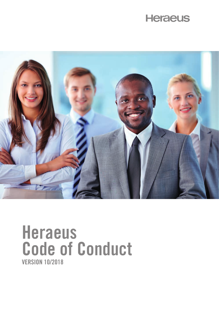# **Heraeus**



# **Heraeus Code of Conduct VERSION 10/2018**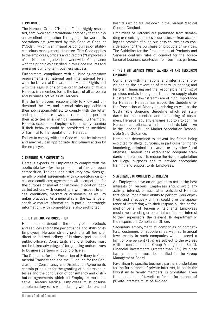# **1. PREAMBLE**

The Heraeus Group ("Heraeus") is a highly-respected, family-owned international company that enjoys an excellent reputation throughout the world. Its operations are governed by this Code of Conduct ("Code"), which is an integral part of our responsibilityconscious management structure. This Code applies to the employees, officers and directors ("Employees") of all Heraeus organizations worldwide. Compliance with the principles described in this Code ensures and preserves our long-term business success.

Furthermore, compliance with all binding statutory requirements at national and international level, with the Universal Declaration of Human Rights and with the regulations of the organizations of which Heraeus is a member, forms the basis of all corporate and business activities at Heraeus.

It is the Employees' responsibility to know and understand the laws and internal rules applicable to their job responsibilities, to comply with the letter and spirit of these laws and rules and to perform their activities in an ethical manner. Furthermore, Heraeus expects its Employees to critically examine if their behavior could be considered as unethical or harmful to the reputation of Heraeus.

Failure to comply with this Code will not be tolerated and may result in appropriate disciplinary action by the employer.

## **2. ENSURING FAIR COMPETITION**

Heraeus expects its Employees to comply with the applicable laws for the protection of fair and open competition. The applicable statutory provisions generally prohibit agreements with competitors on prices and conditions, agreements with competitors for the purpose of market or customer allocation, concerted actions with competitors with respect to prices, conditions, markets or customers, as well as unfair practices. As a general rule, the exchange of sensitive market information, in particular strategic information, with competitors is also prohibited.

## **3. THE FIGHT AGAINST CORRUPTION**

Heraeus is convinced of the quality of its products and services and of the performance and skills of its Employees. Heraeus strictly prohibits all forms of direct or indirect bribery of business partners and public officers. Consultants and distributors must not be taken advantage of for granting undue favors to business partners or public officers.

The Guideline for the Prevention of Bribery in Commercial Transactions and the Guideline for the Conclusion of Consultancy and Distribution Agreements contain principles for the granting of business courtesies and the conclusion of consultancy and distribution agreements which all Employees must observe. Heraeus Medical Employees must observe supplementary rules when dealing with doctors and hospitals which are laid down in the Heraeus Medical Code of Conduct.

Employees of Heraeus are prohibited from demanding or receiving business courtesies or from accepting the promise of such business courtesies as consideration for the purchase of products or services. The Guideline for the Procurement of Products and Services contains rules of conduct for the acceptance of business courtesies from business partners.

#### **4. THE FIGHT AGAINST MONEY LAUNDERING AND TERRORISM FINANCING**

Compliance with the national and international provisions on the prevention of money laundering and terrorism financing and the responsible handling of precious metals throughout the entire supply chain (upstream and downstream) are of high importance for Heraeus. Heraeus has issued the Guideline for the Prevention of Money Laundering as well as the Sustainable Sourcing Guideline which set standards for the selection and monitoring of customers. Heraeus regularly engages auditors to confirm Heraeus' compliance with the standards laid down in the London Bullion Market Association Responsible Gold Guidance.

Heraeus is determined to prevent itself from being exploited for illegal purposes, in particular for money laundering, criminal tax evasion or any other fiscal offenses. Heraeus has established adequate standards and processes to reduce the risk of exploitation for illegal purposes and to provide appropriate training and support to its Employees.

## **5. AVOIDANCE OF CONFLICTS OF INTEREST**

All Employees have an obligation to act in the best interests of Heraeus. Employees should avoid any activity, interest, or association outside of Heraeus that could impair their ability to perform work objectively and effectively or that could give the appearance of interfering with their responsibilities performed on behalf of Heraeus or its clients. Employees must reveal existing or potential conflicts of interest to their supervisors, the relevant HR department or the responsible Compliance Officer.

Secondary employment at companies of competitors, customers or suppliers, as well as financial investments in such companies which exceed a limit of one percent (1%) are subject to the express written consent of the Group Management Board. Financial investments (greater than 1%) by close family members must be notified to the Group Management Board.

Favoritism to specific business partners undertaken for the furtherance of private interests, in particular favoritism to family members, is prohibited. Even the appearance of favoritism for the furtherance of private interests must be avoided.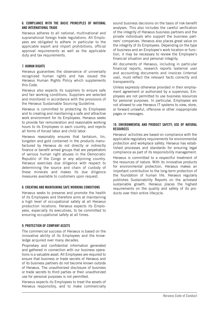#### **6. COMPLIANCE WITH THE BASIC PRINCIPLES OF NATIONAL AND INTERNATIONAL TRADE**

Heraeus adheres to all national, multinational and supranational foreign trade regulations. All Employees are obligated to adhere in particular to the applicable export and import prohibitions, official approval requirements as well as the applicable duty and tax requirements.

# **7. HUMAN RIGHTS**

Heraeus guarantees the observance of universally recognized human rights and has issued the Heraeus Human Rights Policy which supplements this Code.

Heraeus also expects its suppliers to ensure safe and fair working conditions. Suppliers are selected and monitored in accordance with the provisions of the Heraeus Sustainable Sourcing Guideline.

Heraeus is committed to protecting its Employees and to creating and maintaining a safe and attractive work environment for its Employees. Heraeus seeks to provide fair remuneration and reasonable working hours to its Employees in each country, and rejects all forms of forced labor and child labor.

Heraeus reasonably ensures that tantalum, tin, tungsten and gold contained in the products manufactured by Heraeus do not directly or indirectly finance or benefit armed groups that are perpetrators of serious human right abuses in the Democratic Republic of the Congo or any adjoining country. Heraeus exercises due diligence with respect to determining the source and chain of custody of these minerals and makes its due diligence measures available to customers upon request.

## **8. CREATING AND MAINTAINING SAFE WORKING CONDITIONS**

Heraeus seeks to preserve and promote the health of its Employees and therefore aims at maintaining a high level of occupational safety at all Heraeus production locations. Heraeus expects its Employees, especially its executives, to be committed to ensuring occupational safety at all times.

# **9. PROTECTION OF COMPANY ASSETS**

The commercial success of Heraeus is based on the innovative ability of its Employees and the knowledge acquired over many decades.

Proprietary and confidential information generated and gathered in connection with our business operations is a valuable asset. All Employees are required to ensure that business or trade secrets of Heraeus and of its business partners do not become known outside of Heraeus. The unauthorized disclosure of business or trade secrets to third parties or their unauthorized use for personal purposes is not permitted.

Heraeus expects its Employees to treat the assets of Heraeus responsibly, and to make commercially sound business decisions on the basis of risk-benefit analyses. This also includes the careful verification of the integrity of Heraeus business partners and the private individuals who support the business partners' companies. Heraeus also places great value on the integrity of its Employees. Depending on the type of business and an Employee's work location or function, it may be necessary to review the Employee's financial situation and personal integrity.

All documents of Heraeus, including in particular financial reports, research reports (external use) and accounting documents and invoices (internal use), must reflect the relevant facts correctly and transparently.

Unless expressly otherwise provided in their employment agreement or authorized by a supervisor, Employees are not permitted to use business resources for personal purposes. In particular, Employees are not allowed to use Heraeus IT systems to view, store, or forward unlawful, offensive or other inappropriate pages or messages.

# **10. ENVIRONMENTAL AND PRODUCT SAFETY; USE OF NATURAL RESOURCES**

Heraeus' activities are based on compliance with the applicable regulatory requirements for environmental protection and workplace safety. Heraeus has established processes and standards for ensuring legal compliance as part of its responsibility management. Heraeus is committed to a respectful treatment of the resources of nature. With its innovative products for environmental protection, Heraeus makes an important contribution to the long-term protection of the foundation of human life. Heraeus regularly publishes Sustainability Reports on the achieved sustainable growth. Heraeus places the highest requirements on the quality and safety of its products over their entire lifecycle.